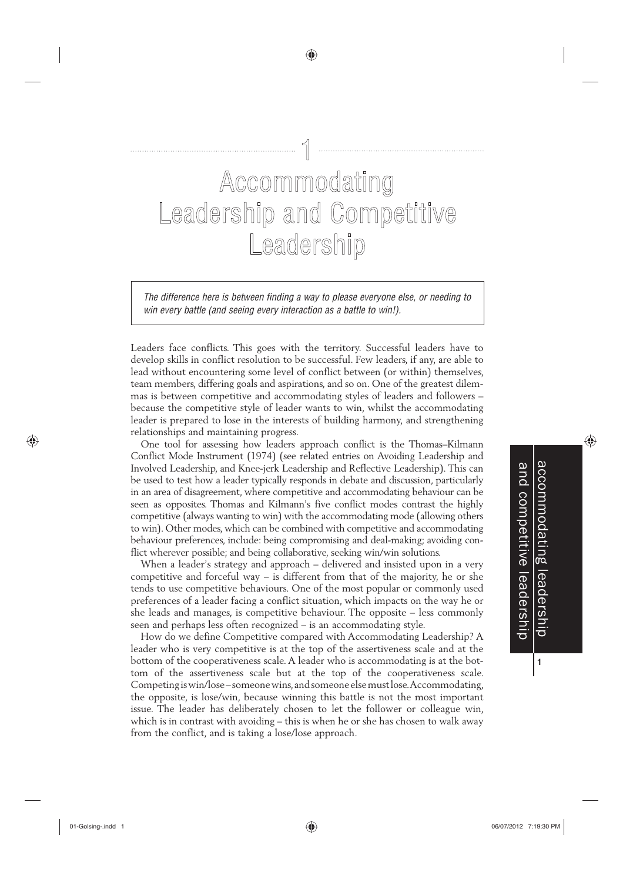## Accommodating Leadership and Competitive Leadership

◈

The difference here is between finding a way to please everyone else, or needing to win every battle (and seeing every interaction as a battle to win!).

Leaders face conflicts. This goes with the territory. Successful leaders have to develop skills in conflict resolution to be successful. Few leaders, if any, are able to lead without encountering some level of conflict between (or within) themselves, team members, differing goals and aspirations, and so on. One of the greatest dilemmas is between competitive and accommodating styles of leaders and followers – because the competitive style of leader wants to win, whilst the accommodating leader is prepared to lose in the interests of building harmony, and strengthening relationships and maintaining progress.

One tool for assessing how leaders approach conflict is the Thomas–Kilmann Conflict Mode Instrument (1974) (see related entries on Avoiding Leadership and Involved Leadership, and Knee-jerk Leadership and Reflective Leadership). This can be used to test how a leader typically responds in debate and discussion, particularly in an area of disagreement, where competitive and accommodating behaviour can be seen as opposites. Thomas and Kilmann's five conflict modes contrast the highly competitive (always wanting to win) with the accommodating mode (allowing others to win). Other modes, which can be combined with competitive and accommodating behaviour preferences, include: being compromising and deal-making; avoiding conflict wherever possible; and being collaborative, seeking win/win solutions.

When a leader's strategy and approach – delivered and insisted upon in a very competitive and forceful way – is different from that of the majority, he or she tends to use competitive behaviours. One of the most popular or commonly used preferences of a leader facing a conflict situation, which impacts on the way he or she leads and manages, is competitive behaviour. The opposite – less commonly seen and perhaps less often recognized – is an accommodating style.

How do we define Competitive compared with Accommodating Leadership? A leader who is very competitive is at the top of the assertiveness scale and at the bottom of the cooperativeness scale. A leader who is accommodating is at the bottom of the assertiveness scale but at the top of the cooperativeness scale. Competing is win/lose – someone wins, and someone else must lose. Accommodating, the opposite, is lose/win, because winning this battle is not the most important issue. The leader has deliberately chosen to let the follower or colleague win, which is in contrast with avoiding – this is when he or she has chosen to walk away from the conflict, and is taking a lose/lose approach.

⊕

⊕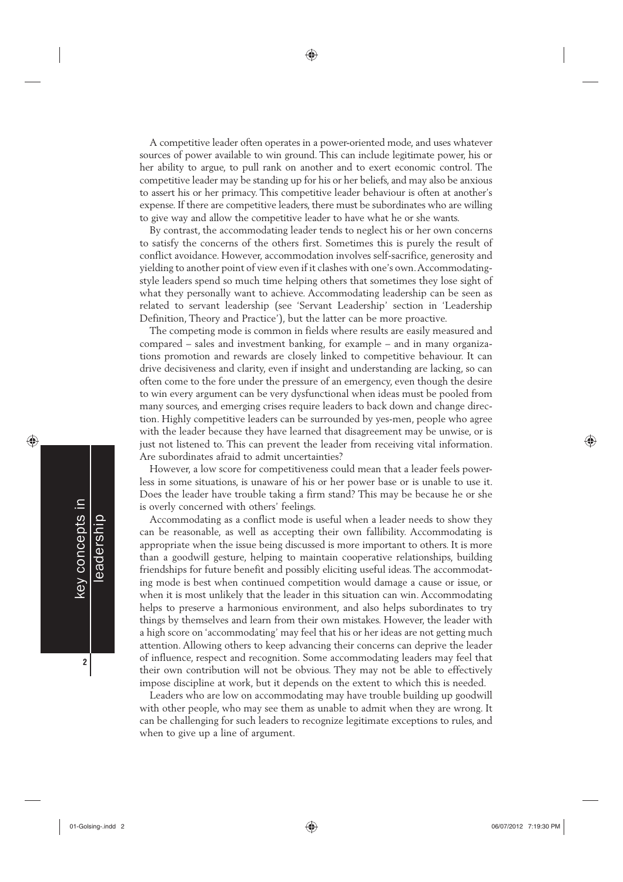A competitive leader often operates in a power-oriented mode, and uses whatever sources of power available to win ground. This can include legitimate power, his or her ability to argue, to pull rank on another and to exert economic control. The competitive leader may be standing up for his or her beliefs, and may also be anxious to assert his or her primacy. This competitive leader behaviour is often at another's expense. If there are competitive leaders, there must be subordinates who are willing to give way and allow the competitive leader to have what he or she wants.

♠

By contrast, the accommodating leader tends to neglect his or her own concerns to satisfy the concerns of the others first. Sometimes this is purely the result of conflict avoidance. However, accommodation involves self-sacrifice, generosity and yielding to another point of view even if it clashes with one's own. Accommodatingstyle leaders spend so much time helping others that sometimes they lose sight of what they personally want to achieve. Accommodating leadership can be seen as related to servant leadership (see 'Servant Leadership' section in 'Leadership Definition, Theory and Practice'), but the latter can be more proactive.

The competing mode is common in fields where results are easily measured and compared – sales and investment banking, for example – and in many organizations promotion and rewards are closely linked to competitive behaviour. It can drive decisiveness and clarity, even if insight and understanding are lacking, so can often come to the fore under the pressure of an emergency, even though the desire to win every argument can be very dysfunctional when ideas must be pooled from many sources, and emerging crises require leaders to back down and change direction. Highly competitive leaders can be surrounded by yes-men, people who agree with the leader because they have learned that disagreement may be unwise, or is just not listened to. This can prevent the leader from receiving vital information. Are subordinates afraid to admit uncertainties?

However, a low score for competitiveness could mean that a leader feels powerless in some situations, is unaware of his or her power base or is unable to use it. Does the leader have trouble taking a firm stand? This may be because he or she is overly concerned with others' feelings.

Accommodating as a conflict mode is useful when a leader needs to show they can be reasonable, as well as accepting their own fallibility. Accommodating is appropriate when the issue being discussed is more important to others. It is more than a goodwill gesture, helping to maintain cooperative relationships, building friendships for future benefit and possibly eliciting useful ideas. The accommodating mode is best when continued competition would damage a cause or issue, or when it is most unlikely that the leader in this situation can win. Accommodating helps to preserve a harmonious environment, and also helps subordinates to try things by themselves and learn from their own mistakes. However, the leader with a high score on 'accommodating' may feel that his or her ideas are not getting much attention. Allowing others to keep advancing their concerns can deprive the leader of influence, respect and recognition. Some accommodating leaders may feel that their own contribution will not be obvious. They may not be able to effectively impose discipline at work, but it depends on the extent to which this is needed.

Leaders who are low on accommodating may have trouble building up goodwill with other people, who may see them as unable to admit when they are wrong. It can be challenging for such leaders to recognize legitimate exceptions to rules, and when to give up a line of argument.

⊕

♠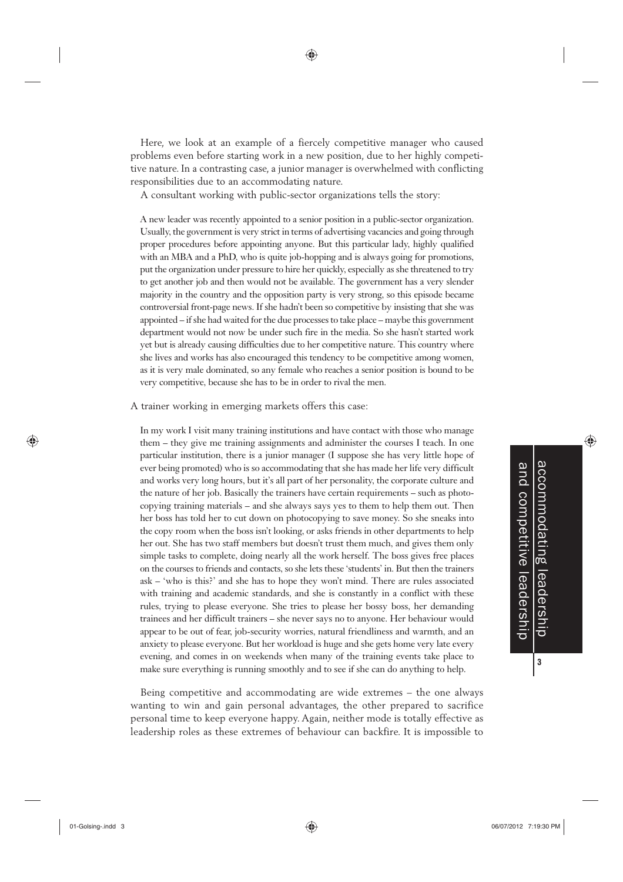Here, we look at an example of a fiercely competitive manager who caused problems even before starting work in a new position, due to her highly competitive nature. In a contrasting case, a junior manager is overwhelmed with conflicting responsibilities due to an accommodating nature.

◈

A consultant working with public-sector organizations tells the story:

A new leader was recently appointed to a senior position in a public-sector organization. Usually, the government is very strict in terms of advertising vacancies and going through proper procedures before appointing anyone. But this particular lady, highly qualified with an MBA and a PhD, who is quite job-hopping and is always going for promotions, put the organization under pressure to hire her quickly, especially as she threatened to try to get another job and then would not be available. The government has a very slender majority in the country and the opposition party is very strong, so this episode became controversial front-page news. If she hadn't been so competitive by insisting that she was appointed – if she had waited for the due processes to take place – maybe this government department would not now be under such fire in the media. So she hasn't started work yet but is already causing difficulties due to her competitive nature. This country where she lives and works has also encouraged this tendency to be competitive among women, as it is very male dominated, so any female who reaches a senior position is bound to be very competitive, because she has to be in order to rival the men.

A trainer working in emerging markets offers this case:

In my work I visit many training institutions and have contact with those who manage them – they give me training assignments and administer the courses I teach. In one particular institution, there is a junior manager (I suppose she has very little hope of ever being promoted) who is so accommodating that she has made her life very difficult and works very long hours, but it's all part of her personality, the corporate culture and the nature of her job. Basically the trainers have certain requirements – such as photocopying training materials – and she always says yes to them to help them out. Then her boss has told her to cut down on photocopying to save money. So she sneaks into the copy room when the boss isn't looking, or asks friends in other departments to help her out. She has two staff members but doesn't trust them much, and gives them only simple tasks to complete, doing nearly all the work herself. The boss gives free places on the courses to friends and contacts, so she lets these 'students' in. But then the trainers ask – 'who is this?' and she has to hope they won't mind. There are rules associated with training and academic standards, and she is constantly in a conflict with these rules, trying to please everyone. She tries to please her bossy boss, her demanding trainees and her difficult trainers – she never says no to anyone. Her behaviour would appear to be out of fear, job-security worries, natural friendliness and warmth, and an anxiety to please everyone. But her workload is huge and she gets home very late every evening, and comes in on weekends when many of the training events take place to make sure everything is running smoothly and to see if she can do anything to help.

Being competitive and accommodating are wide extremes – the one always wanting to win and gain personal advantages, the other prepared to sacrifice personal time to keep everyone happy. Again, neither mode is totally effective as leadership roles as these extremes of behaviour can backfire. It is impossible to



⊕